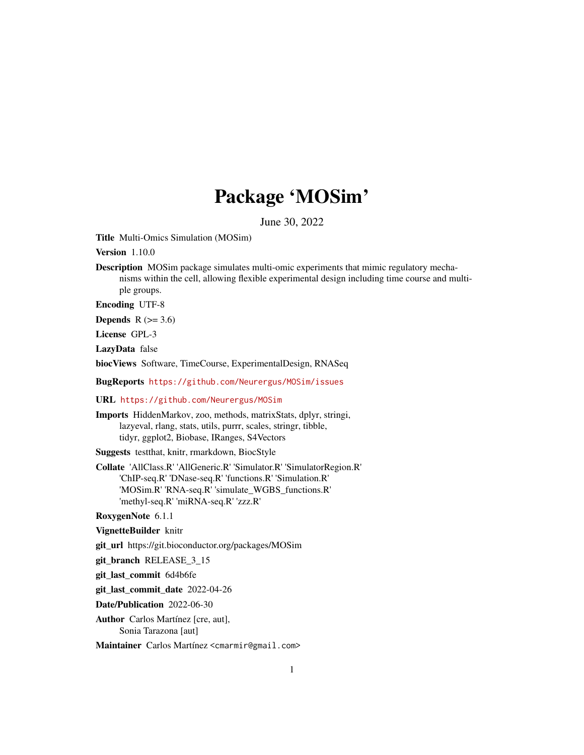## Package 'MOSim'

June 30, 2022

Title Multi-Omics Simulation (MOSim)

Version 1.10.0

Description MOSim package simulates multi-omic experiments that mimic regulatory mechanisms within the cell, allowing flexible experimental design including time course and multiple groups.

Encoding UTF-8

Depends  $R$  ( $>= 3.6$ )

License GPL-3

LazyData false

biocViews Software, TimeCourse, ExperimentalDesign, RNASeq

BugReports <https://github.com/Neurergus/MOSim/issues>

#### URL <https://github.com/Neurergus/MOSim>

Imports HiddenMarkov, zoo, methods, matrixStats, dplyr, stringi, lazyeval, rlang, stats, utils, purrr, scales, stringr, tibble, tidyr, ggplot2, Biobase, IRanges, S4Vectors

Suggests testthat, knitr, rmarkdown, BiocStyle

Collate 'AllClass.R' 'AllGeneric.R' 'Simulator.R' 'SimulatorRegion.R' 'ChIP-seq.R' 'DNase-seq.R' 'functions.R' 'Simulation.R' 'MOSim.R' 'RNA-seq.R' 'simulate\_WGBS\_functions.R' 'methyl-seq.R' 'miRNA-seq.R' 'zzz.R'

RoxygenNote 6.1.1

VignetteBuilder knitr

git\_url https://git.bioconductor.org/packages/MOSim

git\_branch RELEASE\_3\_15

git\_last\_commit 6d4b6fe

git\_last\_commit\_date 2022-04-26

Date/Publication 2022-06-30

Author Carlos Martínez [cre, aut], Sonia Tarazona [aut]

Maintainer Carlos Martínez <cmarmir@gmail.com>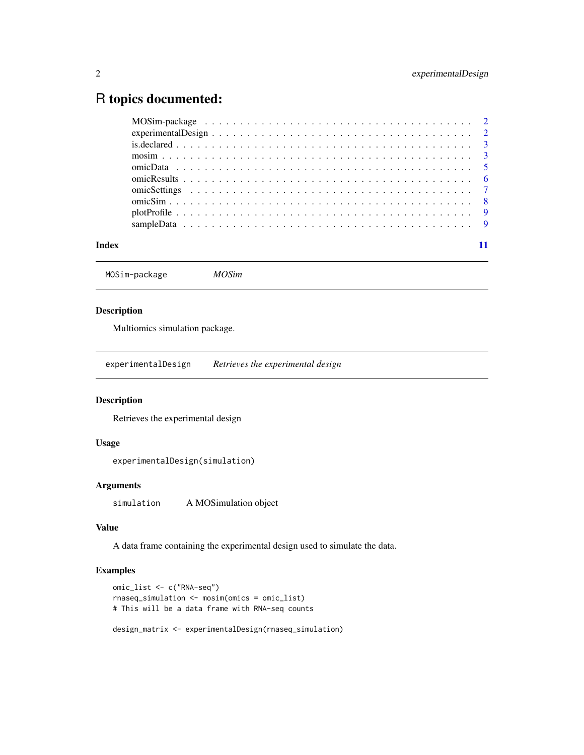### <span id="page-1-0"></span>R topics documented:

| experimental Design $\ldots \ldots \ldots \ldots \ldots \ldots \ldots \ldots \ldots \ldots \ldots \ldots \ldots$ |  |
|------------------------------------------------------------------------------------------------------------------|--|
|                                                                                                                  |  |
|                                                                                                                  |  |
|                                                                                                                  |  |
|                                                                                                                  |  |
|                                                                                                                  |  |
|                                                                                                                  |  |
|                                                                                                                  |  |
|                                                                                                                  |  |
|                                                                                                                  |  |

#### **Index** [11](#page-10-0)

MOSim-package *MOSim*

#### Description

Multiomics simulation package.

experimentalDesign *Retrieves the experimental design*

#### Description

Retrieves the experimental design

#### Usage

experimentalDesign(simulation)

#### Arguments

simulation A MOSimulation object

#### Value

A data frame containing the experimental design used to simulate the data.

#### Examples

```
omic_list <- c("RNA-seq")
rnaseq_simulation <- mosim(omics = omic_list)
# This will be a data frame with RNA-seq counts
```
design\_matrix <- experimentalDesign(rnaseq\_simulation)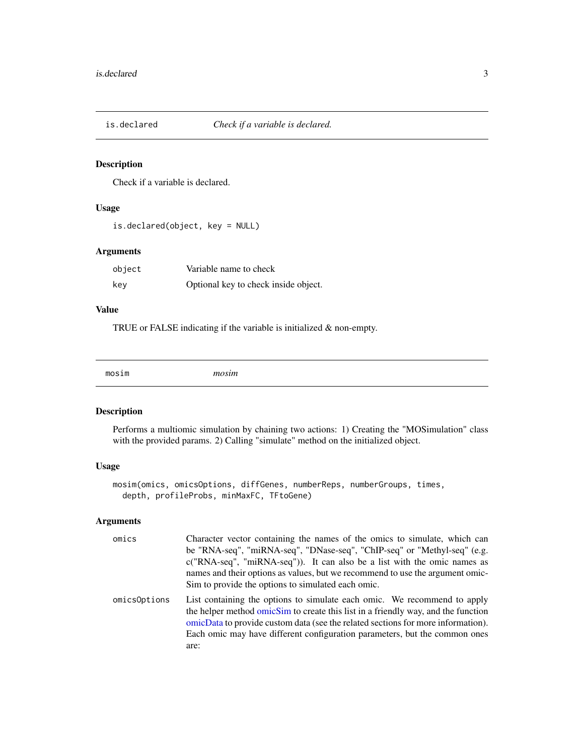<span id="page-2-0"></span>

Check if a variable is declared.

#### Usage

```
is.declared(object, key = NULL)
```
#### Arguments

| object | Variable name to check               |
|--------|--------------------------------------|
| kev    | Optional key to check inside object. |

#### Value

TRUE or FALSE indicating if the variable is initialized & non-empty.

<span id="page-2-1"></span>

#### Description

Performs a multiomic simulation by chaining two actions: 1) Creating the "MOSimulation" class with the provided params. 2) Calling "simulate" method on the initialized object.

#### Usage

```
mosim(omics, omicsOptions, diffGenes, numberReps, numberGroups, times,
 depth, profileProbs, minMaxFC, TFtoGene)
```
#### Arguments

| omics        | Character vector containing the names of the omics to simulate, which can<br>be "RNA-seq", "miRNA-seq", "DNase-seq", "ChIP-seq" or "Methyl-seq" (e.g.<br>$c("RNA-seq", "miRNA-seq"))$ . It can also be a list with the omic names as<br>names and their options as values, but we recommend to use the argument omic-<br>Sim to provide the options to simulated each omic. |
|--------------|-----------------------------------------------------------------------------------------------------------------------------------------------------------------------------------------------------------------------------------------------------------------------------------------------------------------------------------------------------------------------------|
| omics0ptions | List containing the options to simulate each omic. We recommend to apply<br>the helper method omicSim to create this list in a friendly way, and the function<br>omicData to provide custom data (see the related sections for more information).<br>Each omic may have different configuration parameters, but the common ones<br>are:                                     |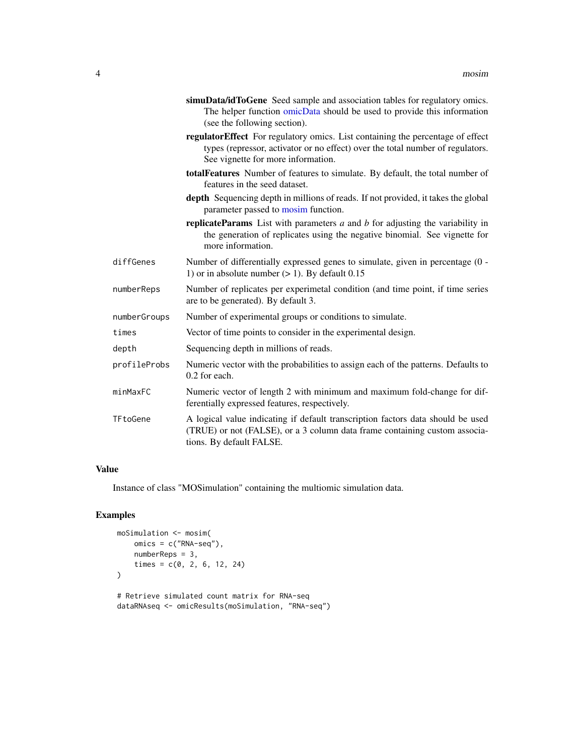<span id="page-3-0"></span>

|              | simuData/idToGene Seed sample and association tables for regulatory omics.<br>The helper function omicData should be used to provide this information<br>(see the following section).                  |
|--------------|--------------------------------------------------------------------------------------------------------------------------------------------------------------------------------------------------------|
|              | regulatorEffect For regulatory omics. List containing the percentage of effect<br>types (repressor, activator or no effect) over the total number of regulators.<br>See vignette for more information. |
|              | totalFeatures Number of features to simulate. By default, the total number of<br>features in the seed dataset.                                                                                         |
|              | depth Sequencing depth in millions of reads. If not provided, it takes the global<br>parameter passed to mosim function.                                                                               |
|              | <b>replicateParams</b> List with parameters $a$ and $b$ for adjusting the variability in<br>the generation of replicates using the negative binomial. See vignette for<br>more information.            |
| diffGenes    | Number of differentially expressed genes to simulate, given in percentage (0 -<br>1) or in absolute number $(> 1)$ . By default 0.15                                                                   |
| numberReps   | Number of replicates per experimetal condition (and time point, if time series<br>are to be generated). By default 3.                                                                                  |
| numberGroups | Number of experimental groups or conditions to simulate.                                                                                                                                               |
| times        | Vector of time points to consider in the experimental design.                                                                                                                                          |
| depth        | Sequencing depth in millions of reads.                                                                                                                                                                 |
| profileProbs | Numeric vector with the probabilities to assign each of the patterns. Defaults to<br>0.2 for each.                                                                                                     |
| minMaxFC     | Numeric vector of length 2 with minimum and maximum fold-change for dif-<br>ferentially expressed features, respectively.                                                                              |
| TFtoGene     | A logical value indicating if default transcription factors data should be used<br>(TRUE) or not (FALSE), or a 3 column data frame containing custom associa-<br>tions. By default FALSE.              |

#### Value

Instance of class "MOSimulation" containing the multiomic simulation data.

#### Examples

```
moSimulation <- mosim(
   omics = c("RNA-seq"),
   numberReps = 3,
   times = c(0, 2, 6, 12, 24))
# Retrieve simulated count matrix for RNA-seq
dataRNAseq <- omicResults(moSimulation, "RNA-seq")
```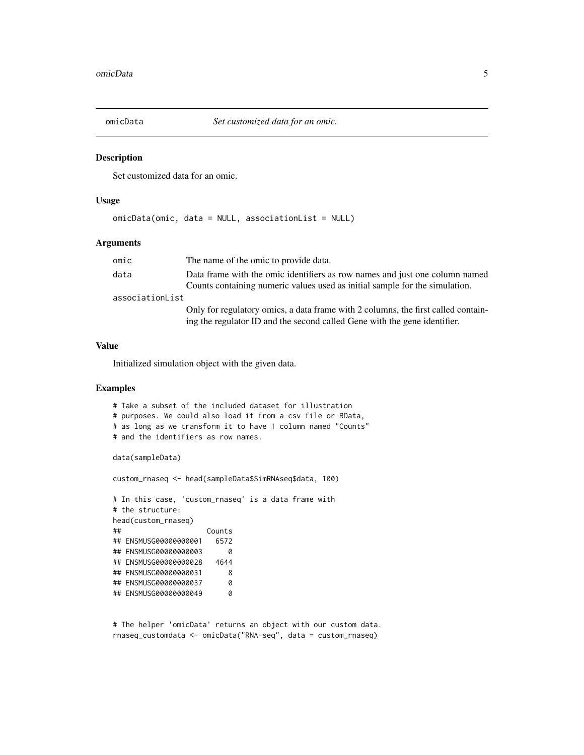<span id="page-4-1"></span><span id="page-4-0"></span>

Set customized data for an omic.

#### Usage

omicData(omic, data = NULL, associationList = NULL)

#### Arguments

| omic            | The name of the omic to provide data.                                                                                                                          |
|-----------------|----------------------------------------------------------------------------------------------------------------------------------------------------------------|
| data            | Data frame with the omic identifiers as row names and just one column named<br>Counts containing numeric values used as initial sample for the simulation.     |
| associationList |                                                                                                                                                                |
|                 | Only for regulatory omics, a data frame with 2 columns, the first called contain-<br>ing the regulator ID and the second called Gene with the gene identifier. |

#### Value

Initialized simulation object with the given data.

#### Examples

```
# Take a subset of the included dataset for illustration
# purposes. We could also load it from a csv file or RData,
# as long as we transform it to have 1 column named "Counts"
# and the identifiers as row names.
data(sampleData)
custom_rnaseq <- head(sampleData$SimRNAseq$data, 100)
# In this case, 'custom_rnaseq' is a data frame with
# the structure:
head(custom_rnaseq)
## Counts
## ENSMUSG00000000001 6572
## ENSMUSG00000000003 0
## ENSMUSG00000000028 4644
## ENSMUSG00000000031 8
## ENSMUSG00000000037 0
## ENSMUSG00000000049 0
```
# The helper 'omicData' returns an object with our custom data. rnaseq\_customdata <- omicData("RNA-seq", data = custom\_rnaseq)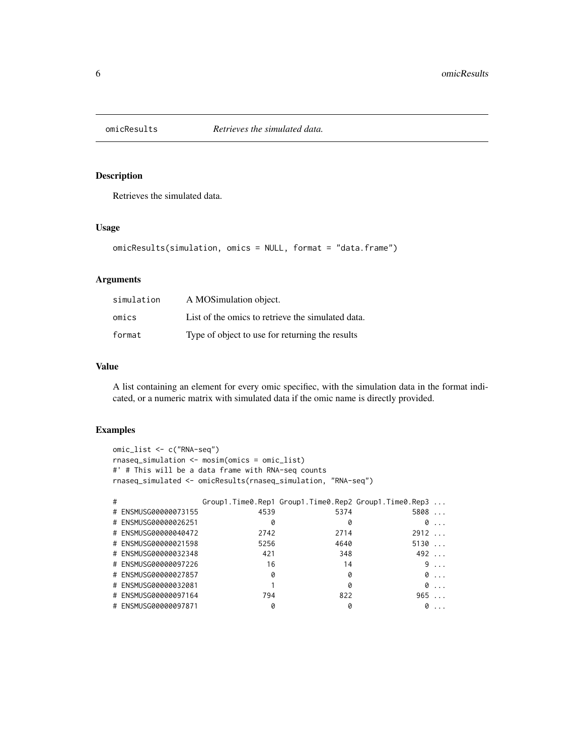<span id="page-5-0"></span>

Retrieves the simulated data.

#### Usage

```
omicResults(simulation, omics = NULL, format = "data.frame")
```
#### Arguments

| simulation | A MOSimulation object.                            |
|------------|---------------------------------------------------|
| omics      | List of the omics to retrieve the simulated data. |
| format     | Type of object to use for returning the results   |

#### Value

A list containing an element for every omic specifiec, with the simulation data in the format indicated, or a numeric matrix with simulated data if the omic name is directly provided.

#### Examples

```
omic_list <- c("RNA-seq")
rnaseq_simulation <- mosim(omics = omic_list)
#' # This will be a data frame with RNA-seq counts
rnaseq_simulated <- omicResults(rnaseq_simulation, "RNA-seq")
# Group1.Time0.Rep1 Group1.Time0.Rep2 Group1.Time0.Rep3 ...
# ENSMUSG00000073155 4539 5374 5808 ...
# ENSMUSG00000026251 0 0 0 ...
# ENSMUSG00000040472 2742 2714 2912 ...
# ENSMUSG00000021598 5256 4640 5130 ...
# ENSMUSG00000032348 421 348 492 ...
# ENSMUSG00000097226 16 14 9 ...
# ENSMUSG00000027857 0 0 0 ...
# ENSMUSG00000032081 1 0 0 0 ...
# ENSMUSG00000097164 794 822 965 ...
```
# ENSMUSG00000097871 0 0 0 ...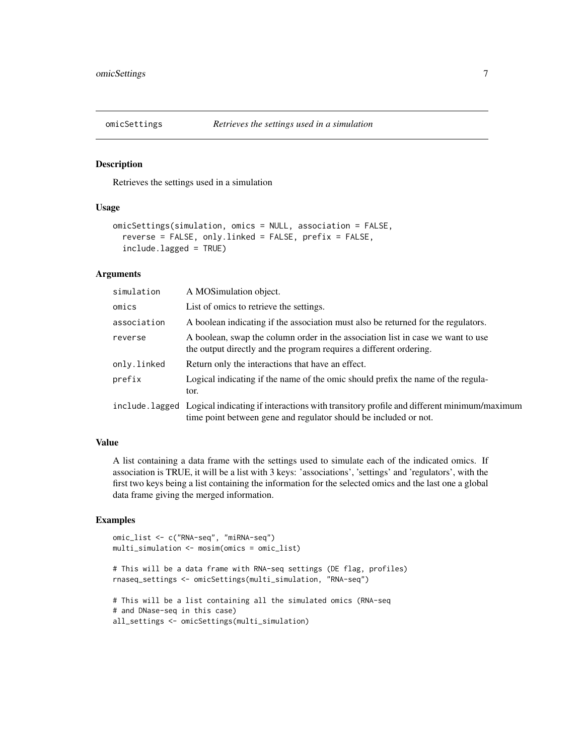<span id="page-6-0"></span>

Retrieves the settings used in a simulation

#### Usage

```
omicSettings(simulation, omics = NULL, association = FALSE,
  reverse = FALSE, only.linked = FALSE, prefix = FALSE,
  include.lagged = TRUE)
```
#### Arguments

| simulation  | A MOSimulation object.                                                                                                                                                       |
|-------------|------------------------------------------------------------------------------------------------------------------------------------------------------------------------------|
| omics       | List of omics to retrieve the settings.                                                                                                                                      |
| association | A boolean indicating if the association must also be returned for the regulators.                                                                                            |
| reverse     | A boolean, swap the column order in the association list in case we want to use<br>the output directly and the program requires a different ordering.                        |
| only.linked | Return only the interactions that have an effect.                                                                                                                            |
| prefix      | Logical indicating if the name of the omic should prefix the name of the regula-<br>tor.                                                                                     |
|             | include. lagged Logical indicating if interactions with transitory profile and different minimum/maximum<br>time point between gene and regulator should be included or not. |

#### Value

A list containing a data frame with the settings used to simulate each of the indicated omics. If association is TRUE, it will be a list with 3 keys: 'associations', 'settings' and 'regulators', with the first two keys being a list containing the information for the selected omics and the last one a global data frame giving the merged information.

#### Examples

```
omic_list <- c("RNA-seq", "miRNA-seq")
multi_simulation <- mosim(omics = omic_list)
# This will be a data frame with RNA-seq settings (DE flag, profiles)
rnaseq_settings <- omicSettings(multi_simulation, "RNA-seq")
# This will be a list containing all the simulated omics (RNA-seq
# and DNase-seq in this case)
all_settings <- omicSettings(multi_simulation)
```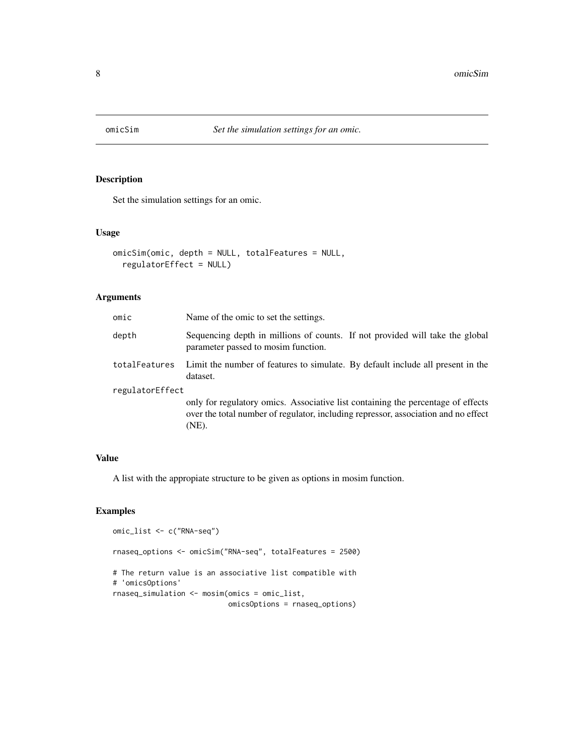<span id="page-7-1"></span><span id="page-7-0"></span>

Set the simulation settings for an omic.

#### Usage

```
omicSim(omic, depth = NULL, totalFeatures = NULL,
  regulatorEffect = NULL)
```
#### Arguments

| omic            | Name of the omic to set the settings.                                                                                                                                           |
|-----------------|---------------------------------------------------------------------------------------------------------------------------------------------------------------------------------|
| depth           | Sequencing depth in millions of counts. If not provided will take the global<br>parameter passed to mosim function.                                                             |
| totalFeatures   | Limit the number of features to simulate. By default include all present in the<br>dataset.                                                                                     |
| regulatorEffect |                                                                                                                                                                                 |
|                 | only for regulatory omics. Associative list containing the percentage of effects<br>over the total number of regulator, including repressor, association and no effect<br>(NE). |

#### Value

A list with the appropiate structure to be given as options in mosim function.

#### Examples

```
omic_list <- c("RNA-seq")
rnaseq_options <- omicSim("RNA-seq", totalFeatures = 2500)
# The return value is an associative list compatible with
# 'omicsOptions'
rnaseq_simulation <- mosim(omics = omic_list,
                           omicsOptions = rnaseq_options)
```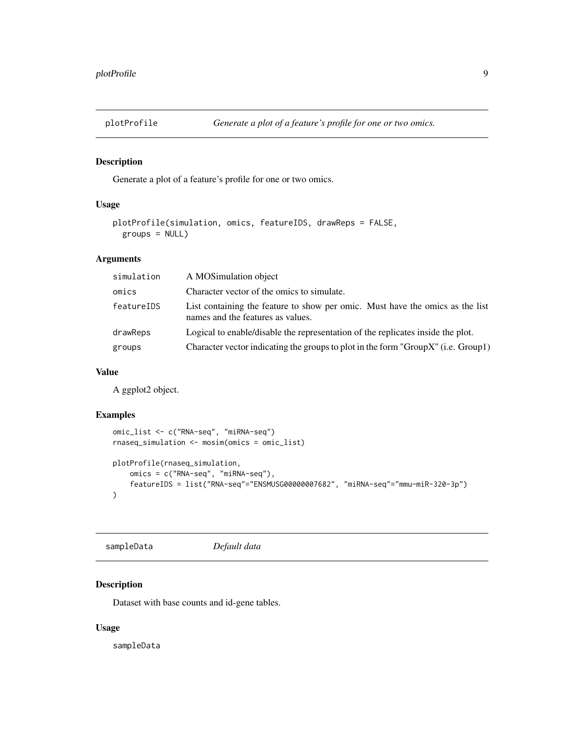<span id="page-8-0"></span>

Generate a plot of a feature's profile for one or two omics.

#### Usage

```
plotProfile(simulation, omics, featureIDS, drawReps = FALSE,
 groups = NULL)
```
#### Arguments

| simulation | A MOSimulation object                                                                                              |
|------------|--------------------------------------------------------------------------------------------------------------------|
| omics      | Character vector of the omics to simulate.                                                                         |
| featureIDS | List containing the feature to show per omic. Must have the omics as the list<br>names and the features as values. |
| drawReps   | Logical to enable/disable the representation of the replicates inside the plot.                                    |
| groups     | Character vector indicating the groups to plot in the form "Group $X$ " (i.e. Group1)                              |

#### Value

A ggplot2 object.

#### Examples

```
omic_list <- c("RNA-seq", "miRNA-seq")
rnaseq_simulation <- mosim(omics = omic_list)
plotProfile(rnaseq_simulation,
   omics = c("RNA-seq", "miRNA-seq"),
   featureIDS = list("RNA-seq"="ENSMUSG00000007682", "miRNA-seq"="mmu-miR-320-3p")
)
```
sampleData *Default data*

#### Description

Dataset with base counts and id-gene tables.

#### Usage

sampleData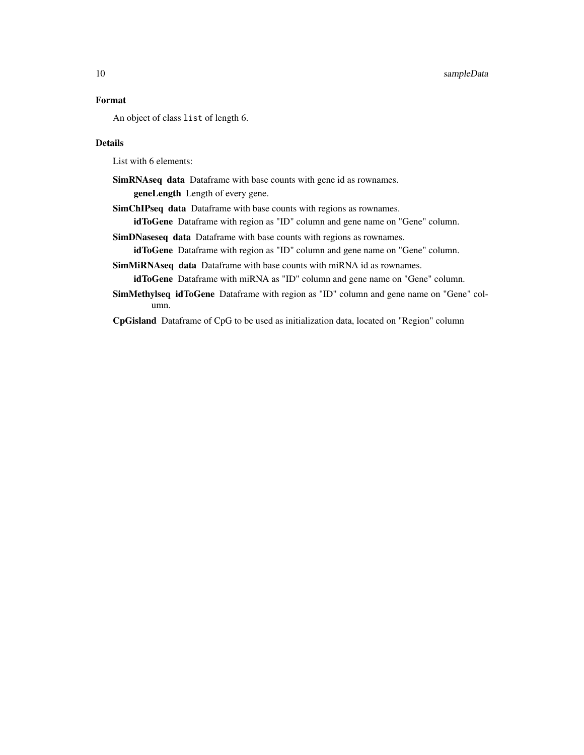#### 10 sampleData

#### Format

An object of class list of length 6.

#### Details

List with 6 elements:

- SimRNAseq data Dataframe with base counts with gene id as rownames. geneLength Length of every gene.
- SimChIPseq data Dataframe with base counts with regions as rownames.

idToGene Dataframe with region as "ID" column and gene name on "Gene" column.

SimDNaseseq data Dataframe with base counts with regions as rownames.

idToGene Dataframe with region as "ID" column and gene name on "Gene" column.

SimMiRNAseq data Dataframe with base counts with miRNA id as rownames. idToGene Dataframe with miRNA as "ID" column and gene name on "Gene" column.

SimMethylseq idToGene Dataframe with region as "ID" column and gene name on "Gene" column.

CpGisland Dataframe of CpG to be used as initialization data, located on "Region" column